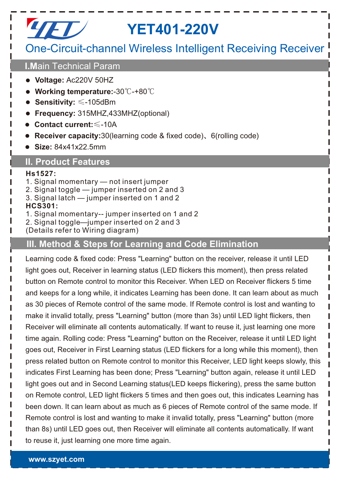# *LIET /* YET401-220V

# One-Circuit-channel Wireless Intelligent Receiving Receiver

### **I.M**ain Technical Param

- **Voltage:** Ac220V 50HZ
- **Working temperature:**-30℃-+80℃
- **Sensitivity:** ≤-105dBm
- **Frequency:** 315MHZ,433MHZ(optional)
- **Contact current:**≤-10A
- **Receiver capacity:**30(learning code & fixed code)、6(rolling code)
- **Size:** 84x41x22.5mm

## **II. Product Features**

#### **Hs1527:**

- 1. Signal momentary not insert jumper
- 2. Signal toggle jumper inserted on 2 and 3
- 3. Signal latch jumper inserted on 1 and 2

#### **HCS301:**

- 1. Signal momentary-- jumper inserted on 1 and 2
- 2. Signal toggle—jumper inserted on 2 and 3
- (Details refer to Wiring diagram)

## **III. Method & Steps for Learning and Code Elimination**

Learning code & fixed code: Press "Learning" button on the receiver, release it until LED light goes out, Receiver in learning status (LED flickers this moment), then press related button on Remote control to monitor this Receiver. When LED on Receiver flickers 5 time and keeps for a long while, it indicates Learning has been done. It can learn about as much as 30 pieces of Remote control of the same mode. If Remote control is lost and wanting to make it invalid totally, press "Learning" button (more than 3s) until LED light flickers, then Receiver will eliminate all contents automatically. If want to reuse it, just learning one more time again. Rolling code: Press "Learning" button on the Receiver, release it until LED light goes out, Receiver in First Learning status (LED flickers for a long while this moment), then press related button on Remote control to monitor this Receiver, LED light keeps slowly, this indicates First Learning has been done; Press "Learning" button again, release it until LED light goes out and in Second Learning status(LED keeps flickering), press the same button on Remote control, LED light flickers 5 times and then goes out, this indicates Learning has been down. It can learn about as much as 6 pieces of Remote control of the same mode. If Remote control is lost and wanting to make it invalid totally, press "Learning" button (more than 8s) until LED goes out, then Receiver will eliminate all contents automatically. If want to reuse it, just learning one more time again.